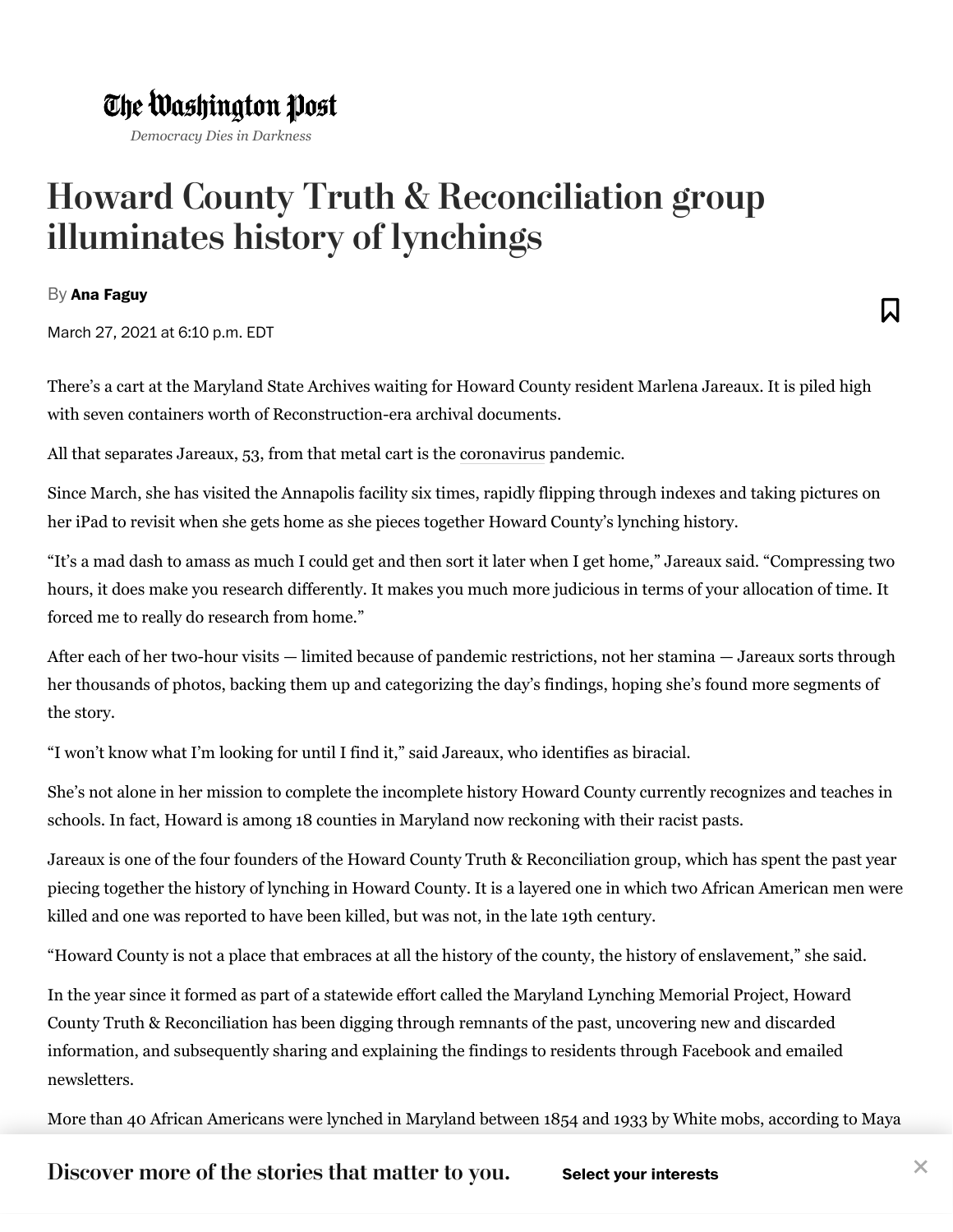#### The Washington Post

*Democracy Dies in Darkness*

# Howard County Truth & Reconciliation group illuminates history of lynchings

By **Ana Faguy**

March 27, 2021 at 6:10 p.m. EDT

There's a cart at the Maryland State Archives waiting for Howard County resident Marlena Jareaux. It is piled high with seven containers worth of Reconstruction-era archival documents.

All that separates Jareaux, 53, from that metal cart is the coronavirus pandemic.

Since March, she has visited the Annapolis facility six times, rapidly flipping through indexes and taking pictures on her iPad to revisit when she gets home as she pieces together Howard County's lynching history.

"It's a mad dash to amass as much I could get and then sort it later when I get home," Jareaux said. "Compressing two hours, it does make you research differently. It makes you much more judicious in terms of your allocation of time. It forced me to really do research from home."

After each of her two-hour visits — limited because of pandemic restrictions, not her stamina — Jareaux sorts through her thousands of photos, backing them up and categorizing the day's findings, hoping she's found more segments of the story.

"I won't know what I'm looking for until I find it," said Jareaux, who identifies as biracial.

She's not alone in her mission to complete the incomplete history Howard County currently recognizes and teaches in schools. In fact, Howard is among 18 counties in Maryland now reckoning with their racist pasts.

Jareaux is one of the four founders of the Howard County Truth & Reconciliation group, which has spent the past year piecing together the history of lynching in Howard County. It is a layered one in which two African American men were killed and one was reported to have been killed, but was not, in the late 19th century.

"Howard County is not a place that embraces at all the history of the county, the history of enslavement," she said.

In the year since it formed as part of a statewide effort called the Maryland Lynching Memorial Project, Howard County Truth & Reconciliation has been digging through remnants of the past, uncovering new and discarded information, and subsequently sharing and explaining the findings to residents through Facebook and emailed newsletters.

More than 40 African Americans were lynched in Maryland between 1854 and 1933 by White mobs, according to Maya

 Discover more of the stories that matter to you. **Select your interests** $\mathbb{R}$  we obtain a community in the truth and hold hearings in the community,  $\mathbb{R}$ 

IJ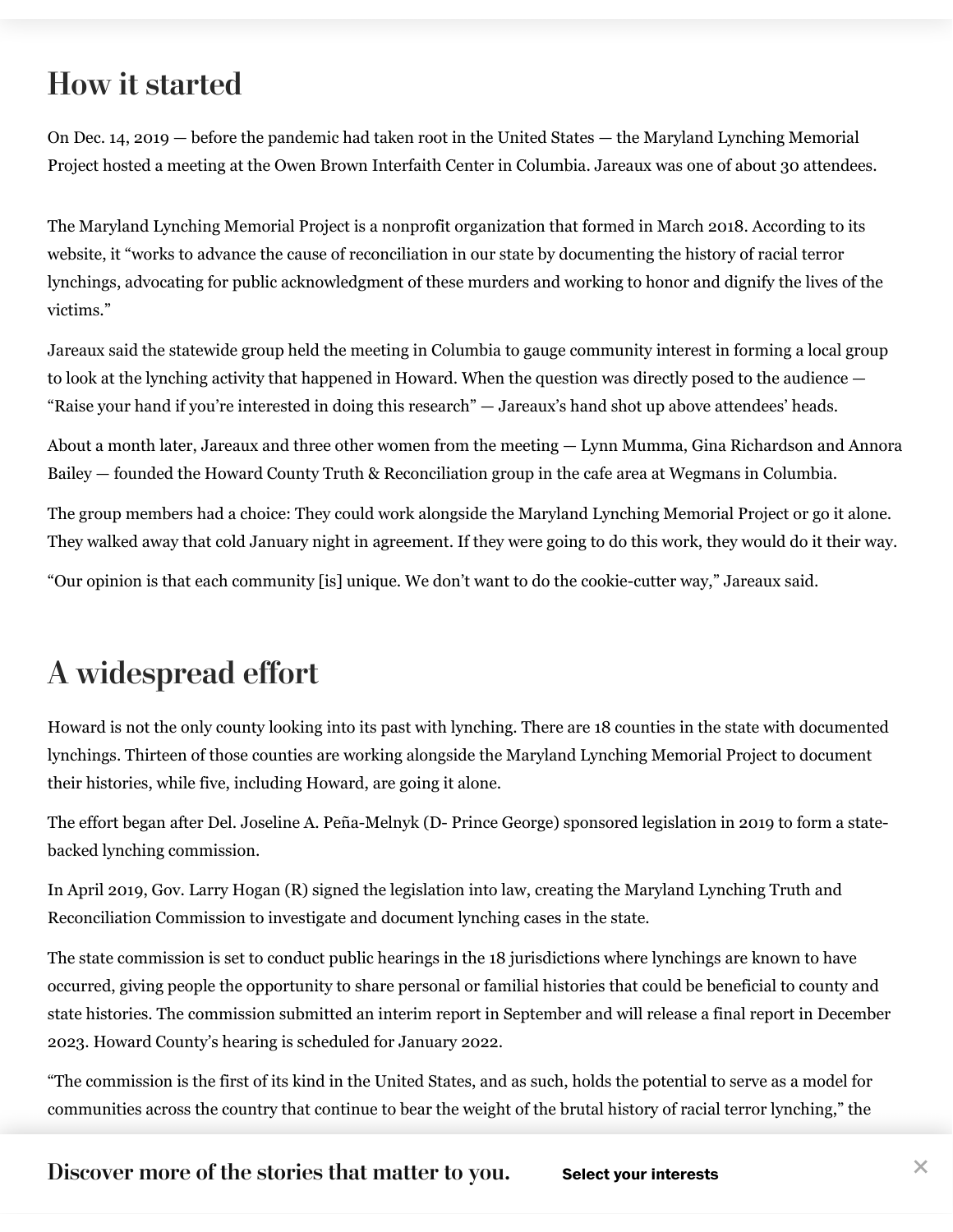# How it started

On Dec. 14, 2019 — before the pandemic had taken root in the United States — the Maryland Lynching Memorial Project hosted a meeting at the Owen Brown Interfaith Center in Columbia. Jareaux was one of about 30 attendees.

The Maryland Lynching Memorial Project is a nonprofit organization that formed in March 2018. According to its website, it "works to advance the cause of reconciliation in our state by documenting the history of racial terror lynchings, advocating for public acknowledgment of these murders and working to honor and dignify the lives of the victims."

Jareaux said the statewide group held the meeting in Columbia to gauge community interest in forming a local group to look at the lynching activity that happened in Howard. When the question was directly posed to the audience — "Raise your hand if you're interested in doing this research" — Jareaux's hand shot up above attendees' heads.

About a month later, Jareaux and three other women from the meeting — Lynn Mumma, Gina Richardson and Annora Bailey — founded the Howard County Truth & Reconciliation group in the cafe area at Wegmans in Columbia.

The group members had a choice: They could work alongside the Maryland Lynching Memorial Project or go it alone. They walked away that cold January night in agreement. If they were going to do this work, they would do it their way.

"Our opinion is that each community [is] unique. We don't want to do the cookie-cutter way," Jareaux said.

## A widespread effort

Howard is not the only county looking into its past with lynching. There are 18 counties in the state with documented lynchings. Thirteen of those counties are working alongside the Maryland Lynching Memorial Project to document their histories, while five, including Howard, are going it alone.

The effort began after Del. Joseline A. Peña-Melnyk (D- Prince George) sponsored legislation in 2019 to form a statebacked lynching commission.

In April 2019, Gov. Larry Hogan (R) signed the legislation into law, creating the Maryland Lynching Truth and Reconciliation Commission to investigate and document lynching cases in the state.

The state commission is set to conduct public hearings in the 18 jurisdictions where lynchings are known to have occurred, giving people the opportunity to share personal or familial histories that could be beneficial to county and state histories. The commission submitted an interim report in September and will release a final report in December 2023. Howard County's hearing is scheduled for January 2022.

"The commission is the first of its kind in the United States, and as such, holds the potential to serve as a model for communities across the country that continue to bear the weight of the brutal history of racial terror lynching," the

Discover more of the stories that matter to you. **Select your interests**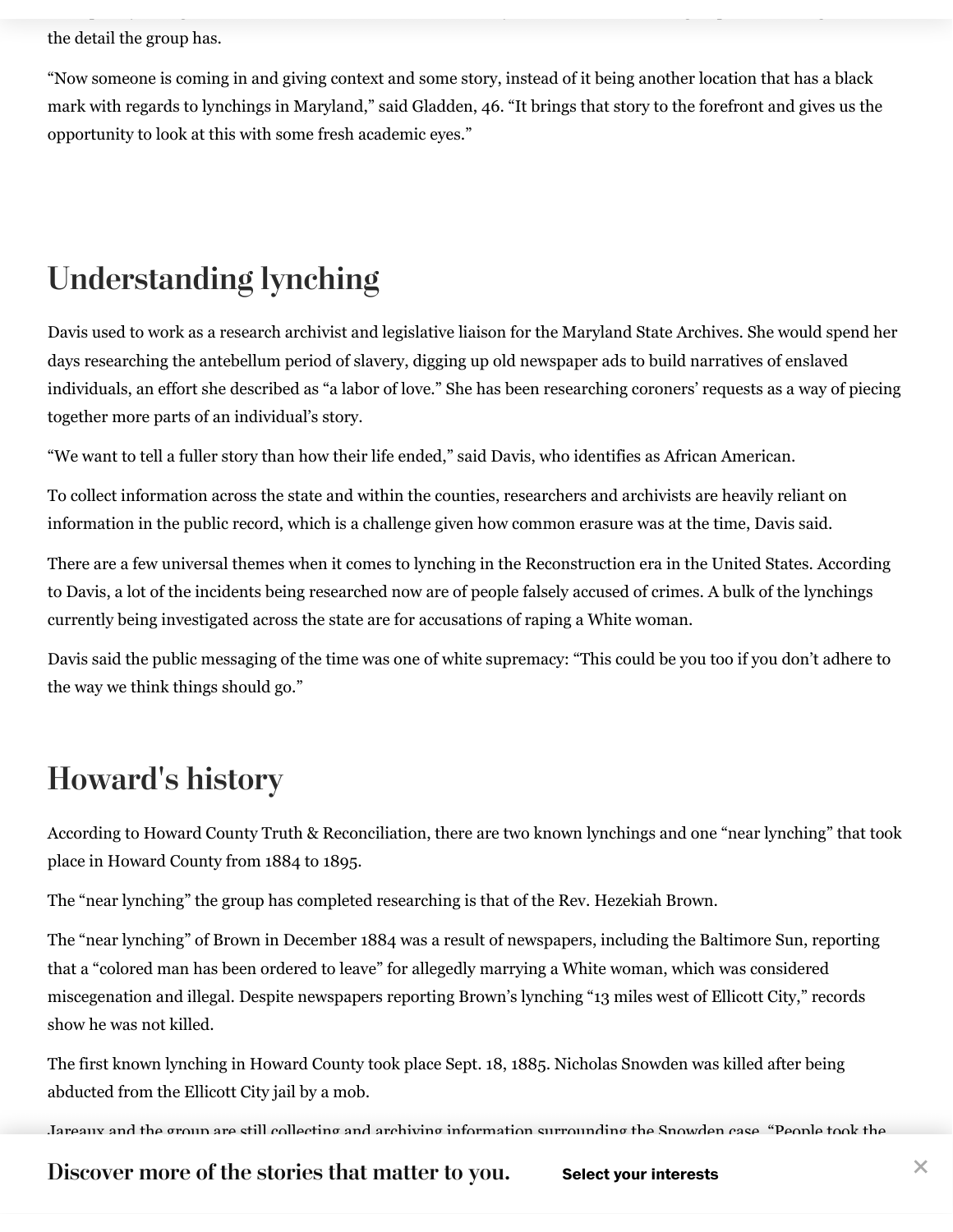the detail the group has.

"Now someone is coming in and giving context and some story, instead of it being another location that has a black mark with regards to lynchings in Maryland," said Gladden, 46. "It brings that story to the forefront and gives us the opportunity to look at this with some fresh academic eyes."

## Understanding lynching

Davis used to work as a research archivist and legislative liaison for the Maryland State Archives. She would spend her days researching the antebellum period of slavery, digging up old newspaper ads to build narratives of enslaved individuals, an effort she described as "a labor of love." She has been researching coroners' requests as a way of piecing together more parts of an individual's story.

"We want to tell a fuller story than how their life ended," said Davis, who identifies as African American.

To collect information across the state and within the counties, researchers and archivists are heavily reliant on information in the public record, which is a challenge given how common erasure was at the time, Davis said.

There are a few universal themes when it comes to lynching in the Reconstruction era in the United States. According to Davis, a lot of the incidents being researched now are of people falsely accused of crimes. A bulk of the lynchings currently being investigated across the state are for accusations of raping a White woman.

Davis said the public messaging of the time was one of white supremacy: "This could be you too if you don't adhere to the way we think things should go."

### Howard's history

According to Howard County Truth & Reconciliation, there are two known lynchings and one "near lynching" that took place in Howard County from 1884 to 1895.

The "near lynching" the group has completed researching is that of the Rev. Hezekiah Brown.

The "near lynching" of Brown in December 1884 was a result of newspapers, including the Baltimore Sun, reporting that a "colored man has been ordered to leave" for allegedly marrying a White woman, which was considered miscegenation and illegal. Despite newspapers reporting Brown's lynching "13 miles west of Ellicott City," records show he was not killed.

The first known lynching in Howard County took place Sept. 18, 1885. Nicholas Snowden was killed after being abducted from the Ellicott City jail by a mob.

Jareaux and the group are still collecting and archiving information surrounding the Snowden case. "People took the

Discover more of the stories that matter to you. **Select your interests**